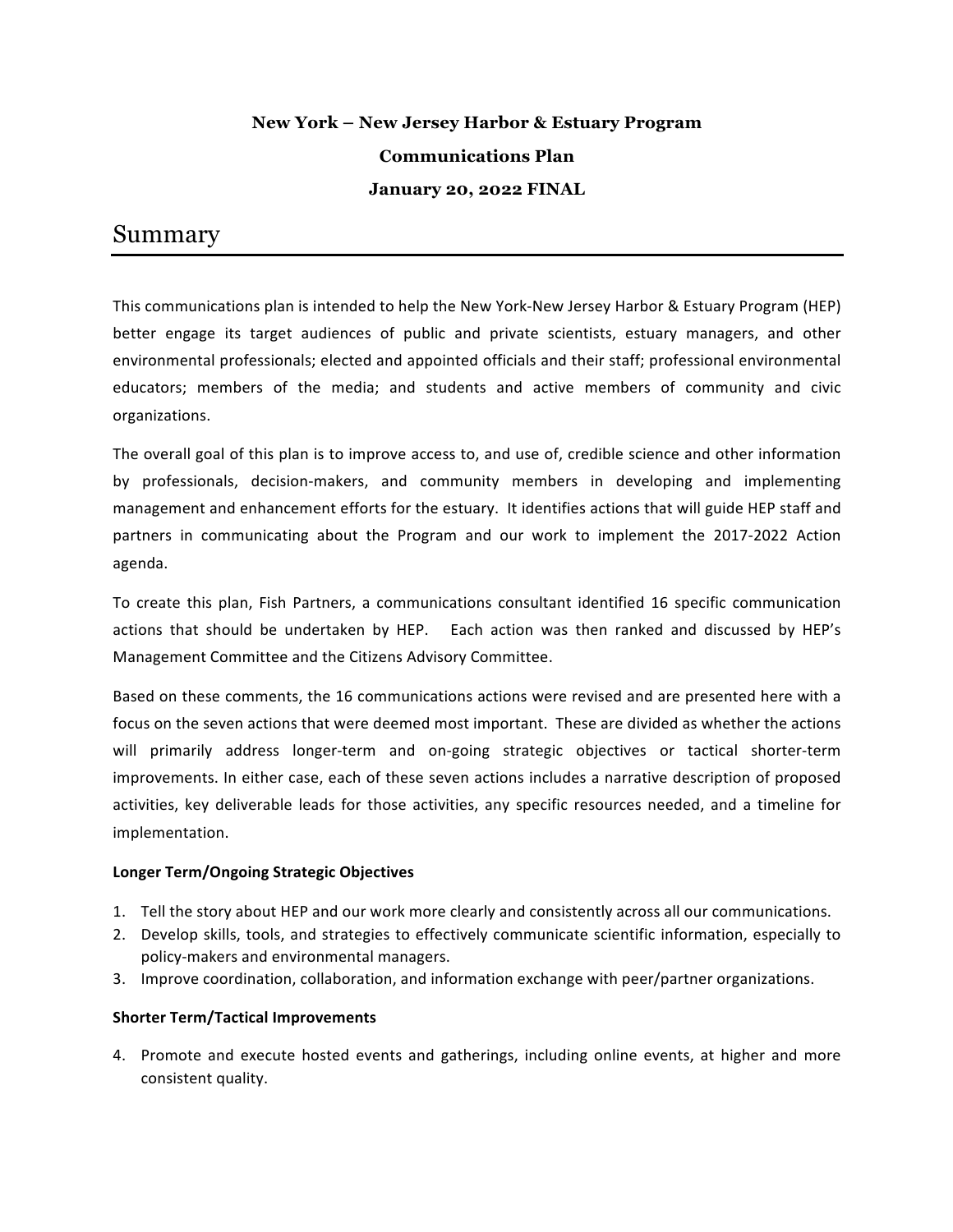### **New York – New Jersey Harbor & Estuary Program Communications Plan January 20, 2022 FINAL**

### Summary

This communications plan is intended to help the New York-New Jersey Harbor & Estuary Program (HEP) better engage its target audiences of public and private scientists, estuary managers, and other environmental professionals; elected and appointed officials and their staff; professional environmental educators; members of the media; and students and active members of community and civic organizations. 

The overall goal of this plan is to improve access to, and use of, credible science and other information by professionals, decision-makers, and community members in developing and implementing management and enhancement efforts for the estuary. It identifies actions that will guide HEP staff and partners in communicating about the Program and our work to implement the 2017-2022 Action agenda.

To create this plan, Fish Partners, a communications consultant identified 16 specific communication actions that should be undertaken by HEP. Each action was then ranked and discussed by HEP's Management Committee and the Citizens Advisory Committee.

Based on these comments, the 16 communications actions were revised and are presented here with a focus on the seven actions that were deemed most important. These are divided as whether the actions will primarily address longer-term and on-going strategic objectives or tactical shorter-term improvements. In either case, each of these seven actions includes a narrative description of proposed activities, key deliverable leads for those activities, any specific resources needed, and a timeline for implementation. 

#### **Longer Term/Ongoing Strategic Objectives**

- 1. Tell the story about HEP and our work more clearly and consistently across all our communications.
- 2. Develop skills, tools, and strategies to effectively communicate scientific information, especially to policy-makers and environmental managers.
- 3. Improve coordination, collaboration, and information exchange with peer/partner organizations.

#### **Shorter Term/Tactical Improvements**

4. Promote and execute hosted events and gatherings, including online events, at higher and more consistent quality.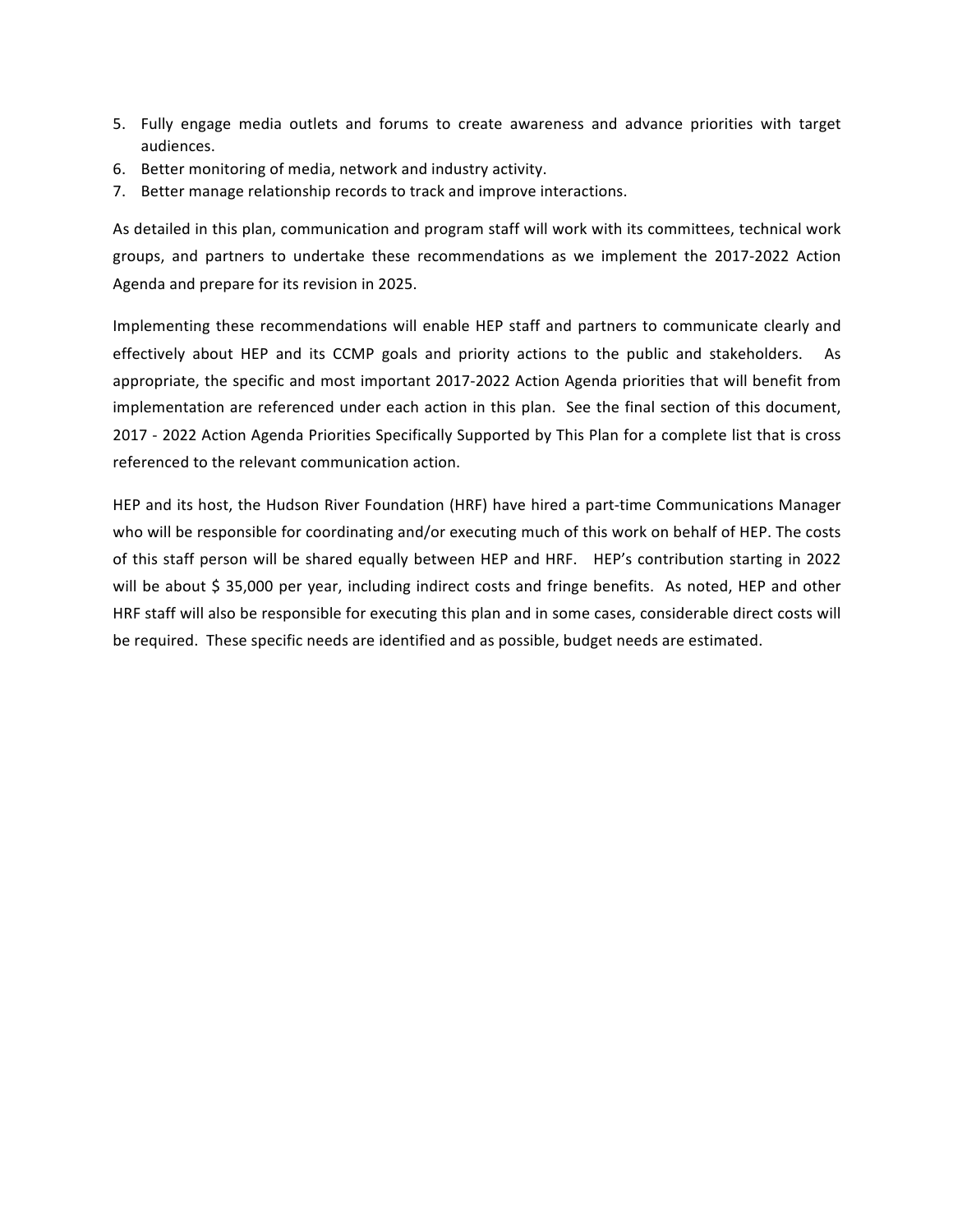- 5. Fully engage media outlets and forums to create awareness and advance priorities with target audiences.
- 6. Better monitoring of media, network and industry activity.
- 7. Better manage relationship records to track and improve interactions.

As detailed in this plan, communication and program staff will work with its committees, technical work groups, and partners to undertake these recommendations as we implement the 2017-2022 Action Agenda and prepare for its revision in 2025.

Implementing these recommendations will enable HEP staff and partners to communicate clearly and effectively about HEP and its CCMP goals and priority actions to the public and stakeholders. As appropriate, the specific and most important 2017-2022 Action Agenda priorities that will benefit from implementation are referenced under each action in this plan. See the final section of this document, 2017 - 2022 Action Agenda Priorities Specifically Supported by This Plan for a complete list that is cross referenced to the relevant communication action.

HEP and its host, the Hudson River Foundation (HRF) have hired a part-time Communications Manager who will be responsible for coordinating and/or executing much of this work on behalf of HEP. The costs of this staff person will be shared equally between HEP and HRF. HEP's contribution starting in 2022 will be about \$ 35,000 per year, including indirect costs and fringe benefits. As noted, HEP and other HRF staff will also be responsible for executing this plan and in some cases, considerable direct costs will be required. These specific needs are identified and as possible, budget needs are estimated.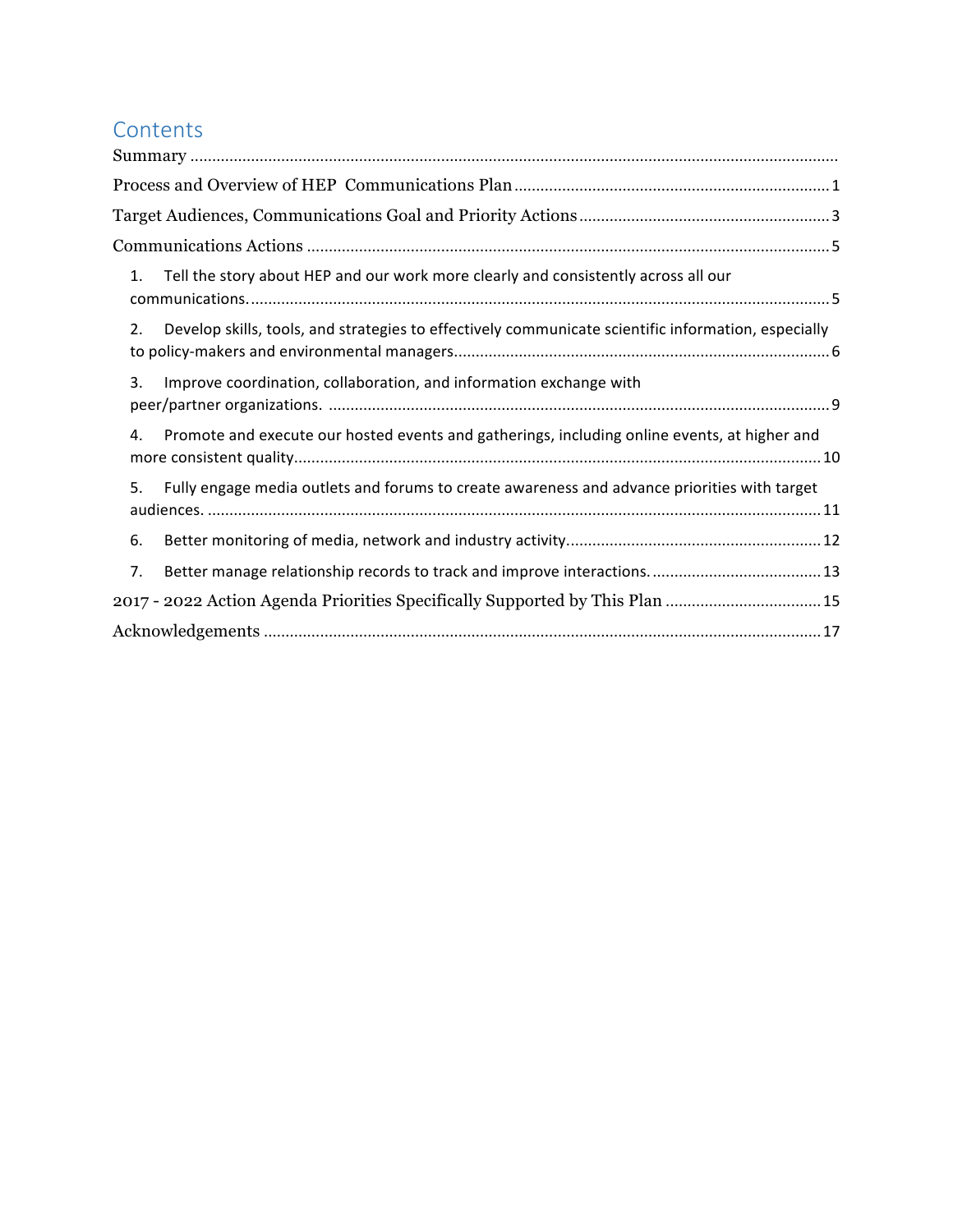# Contents

| 1. | Tell the story about HEP and our work more clearly and consistently across all our                  |  |
|----|-----------------------------------------------------------------------------------------------------|--|
| 2. | Develop skills, tools, and strategies to effectively communicate scientific information, especially |  |
| 3. | Improve coordination, collaboration, and information exchange with                                  |  |
| 4. | Promote and execute our hosted events and gatherings, including online events, at higher and        |  |
| 5. | Fully engage media outlets and forums to create awareness and advance priorities with target        |  |
| 6. |                                                                                                     |  |
| 7. |                                                                                                     |  |
|    | 2017 - 2022 Action Agenda Priorities Specifically Supported by This Plan  15                        |  |
|    |                                                                                                     |  |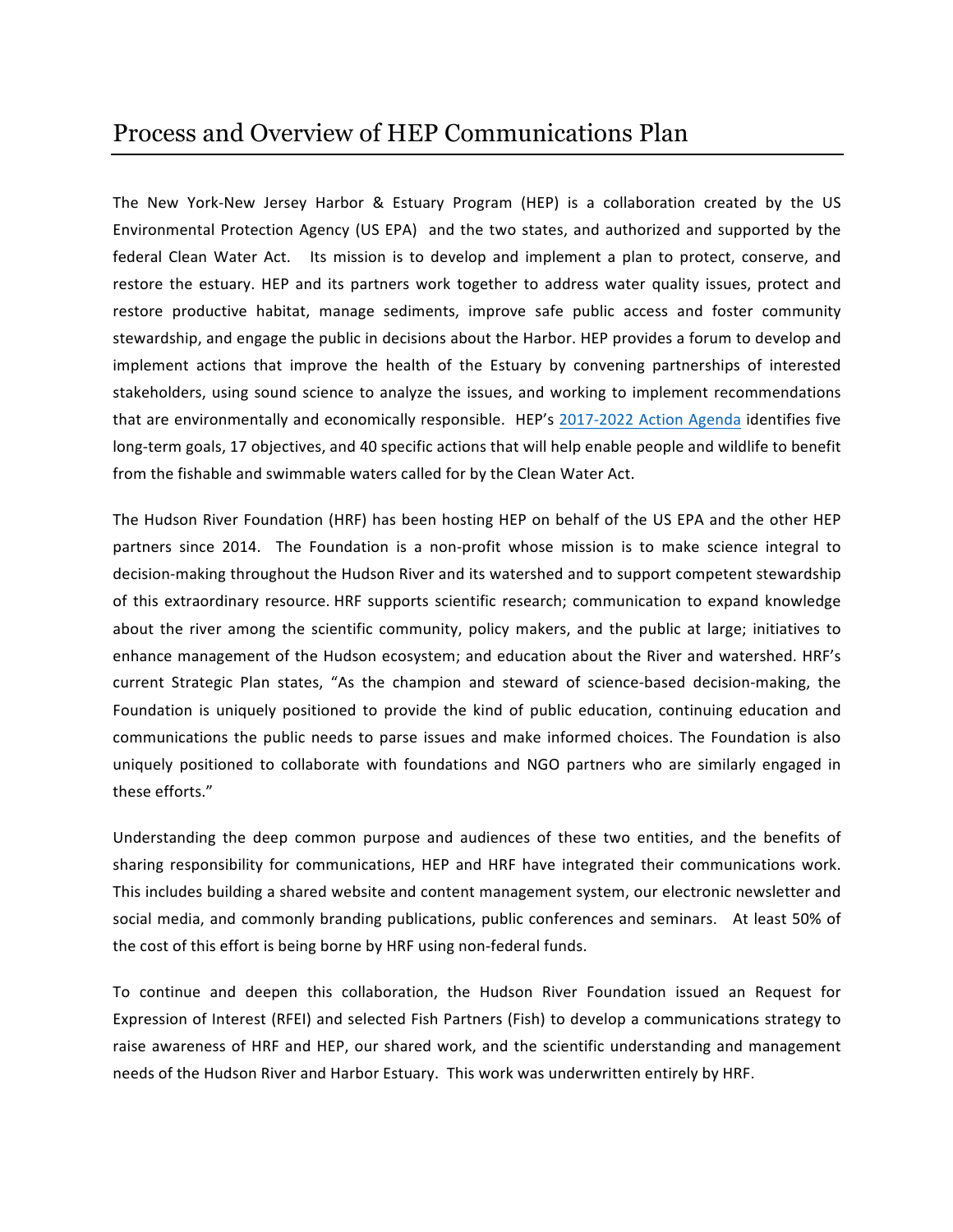The New York-New Jersey Harbor & Estuary Program (HEP) is a collaboration created by the US Environmental Protection Agency (US EPA) and the two states, and authorized and supported by the federal Clean Water Act. Its mission is to develop and implement a plan to protect, conserve, and restore the estuary. HEP and its partners work together to address water quality issues, protect and restore productive habitat, manage sediments, improve safe public access and foster community stewardship, and engage the public in decisions about the Harbor. HEP provides a forum to develop and implement actions that improve the health of the Estuary by convening partnerships of interested stakeholders, using sound science to analyze the issues, and working to implement recommendations that are environmentally and economically responsible. HEP's 2017-2022 Action Agenda identifies five long-term goals, 17 objectives, and 40 specific actions that will help enable people and wildlife to benefit from the fishable and swimmable waters called for by the Clean Water Act.

The Hudson River Foundation (HRF) has been hosting HEP on behalf of the US EPA and the other HEP partners since 2014. The Foundation is a non-profit whose mission is to make science integral to decision-making throughout the Hudson River and its watershed and to support competent stewardship of this extraordinary resource. HRF supports scientific research; communication to expand knowledge about the river among the scientific community, policy makers, and the public at large; initiatives to enhance management of the Hudson ecosystem; and education about the River and watershed. HRF's current Strategic Plan states, "As the champion and steward of science-based decision-making, the Foundation is uniquely positioned to provide the kind of public education, continuing education and communications the public needs to parse issues and make informed choices. The Foundation is also uniquely positioned to collaborate with foundations and NGO partners who are similarly engaged in these efforts." 

Understanding the deep common purpose and audiences of these two entities, and the benefits of sharing responsibility for communications, HEP and HRF have integrated their communications work. This includes building a shared website and content management system, our electronic newsletter and social media, and commonly branding publications, public conferences and seminars. At least 50% of the cost of this effort is being borne by HRF using non-federal funds.

To continue and deepen this collaboration, the Hudson River Foundation issued an Request for Expression of Interest (RFEI) and selected Fish Partners (Fish) to develop a communications strategy to raise awareness of HRF and HEP, our shared work, and the scientific understanding and management needs of the Hudson River and Harbor Estuary. This work was underwritten entirely by HRF.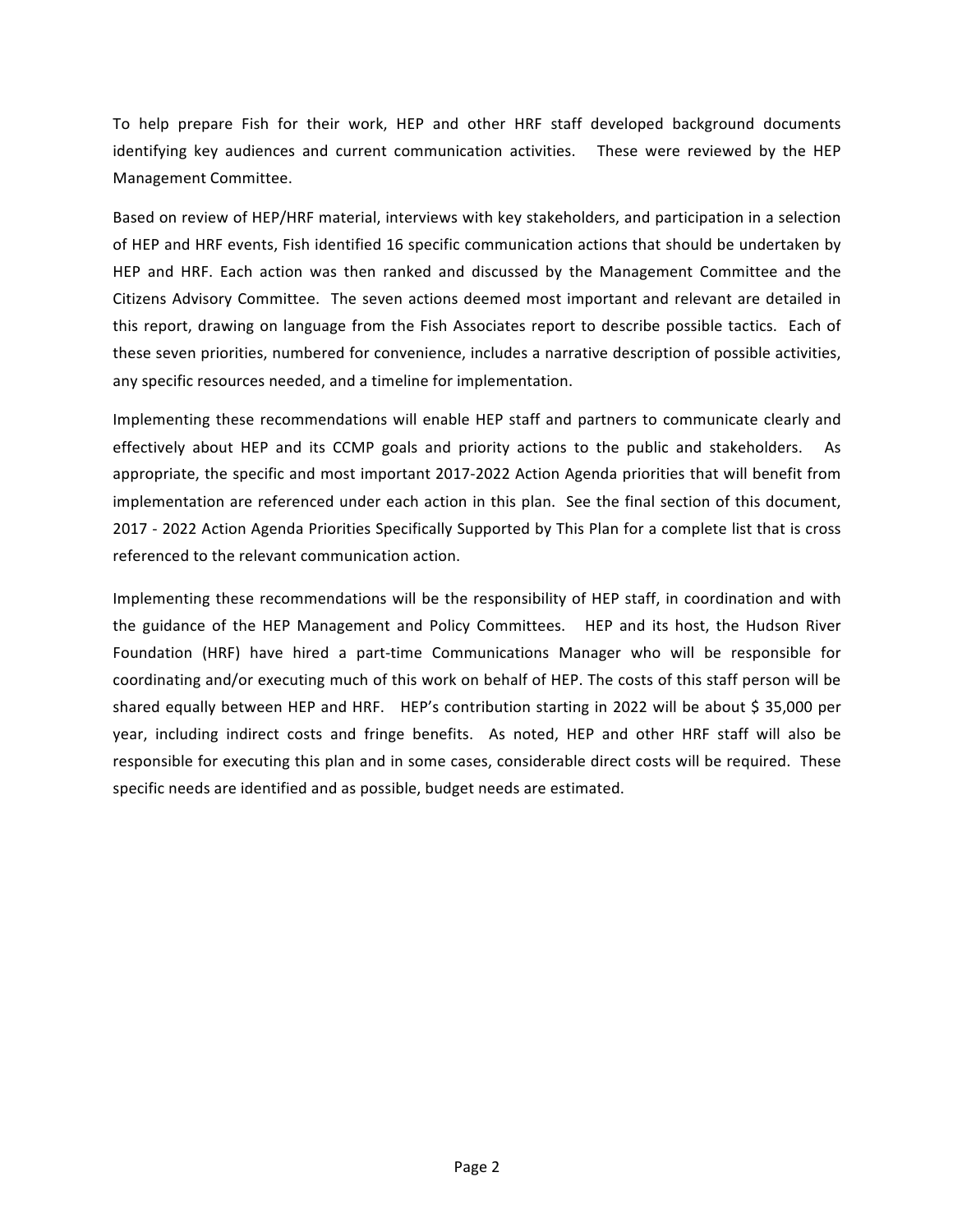To help prepare Fish for their work, HEP and other HRF staff developed background documents identifying key audiences and current communication activities. These were reviewed by the HEP Management Committee.

Based on review of HEP/HRF material, interviews with key stakeholders, and participation in a selection of HEP and HRF events, Fish identified 16 specific communication actions that should be undertaken by HEP and HRF. Each action was then ranked and discussed by the Management Committee and the Citizens Advisory Committee. The seven actions deemed most important and relevant are detailed in this report, drawing on language from the Fish Associates report to describe possible tactics. Each of these seven priorities, numbered for convenience, includes a narrative description of possible activities, any specific resources needed, and a timeline for implementation.

Implementing these recommendations will enable HEP staff and partners to communicate clearly and effectively about HEP and its CCMP goals and priority actions to the public and stakeholders. As appropriate, the specific and most important 2017-2022 Action Agenda priorities that will benefit from implementation are referenced under each action in this plan. See the final section of this document, 2017 - 2022 Action Agenda Priorities Specifically Supported by This Plan for a complete list that is cross referenced to the relevant communication action.

Implementing these recommendations will be the responsibility of HEP staff, in coordination and with the guidance of the HEP Management and Policy Committees. HEP and its host, the Hudson River Foundation (HRF) have hired a part-time Communications Manager who will be responsible for coordinating and/or executing much of this work on behalf of HEP. The costs of this staff person will be shared equally between HEP and HRF. HEP's contribution starting in 2022 will be about \$ 35,000 per year, including indirect costs and fringe benefits. As noted, HEP and other HRF staff will also be responsible for executing this plan and in some cases, considerable direct costs will be required. These specific needs are identified and as possible, budget needs are estimated.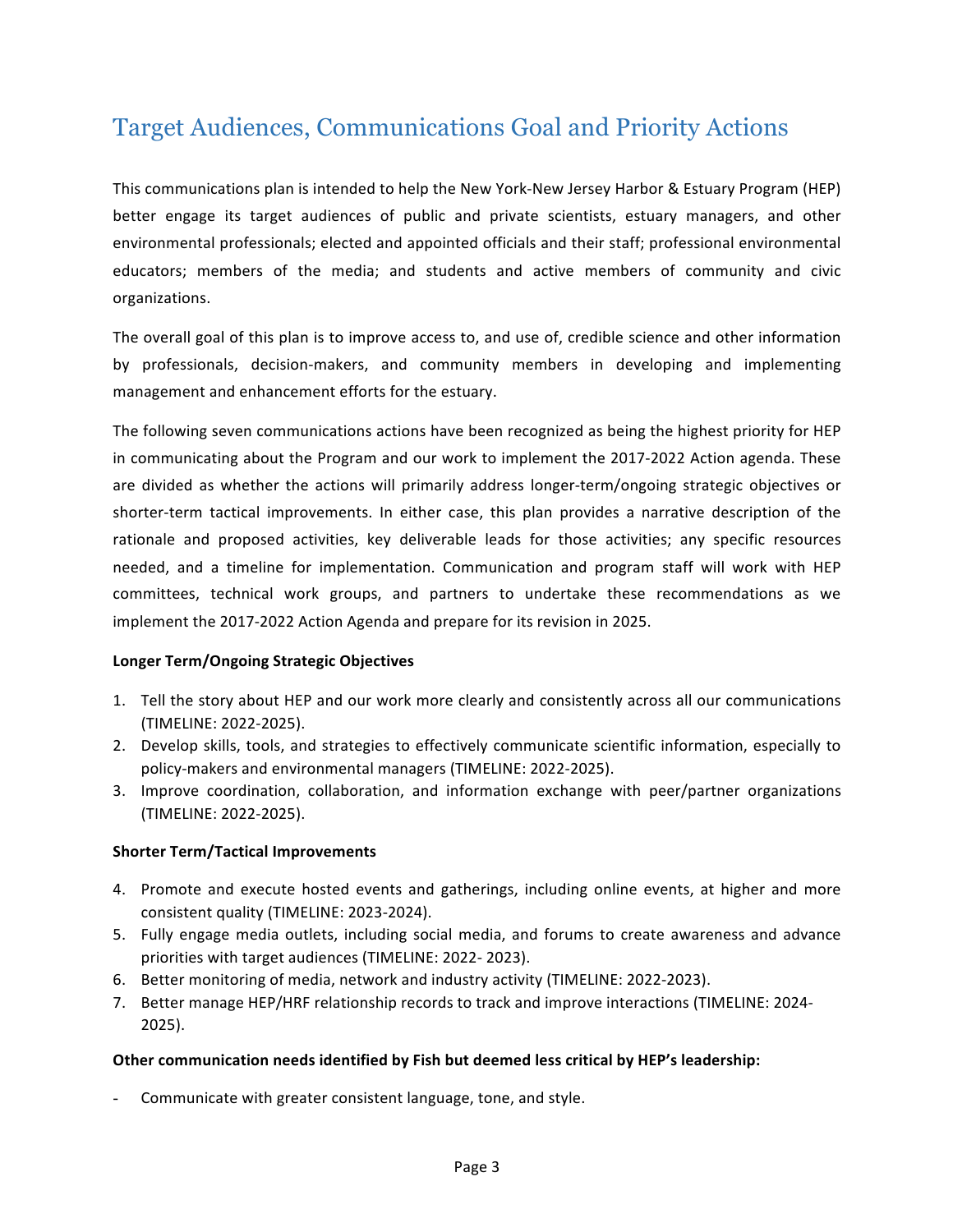## Target Audiences, Communications Goal and Priority Actions

This communications plan is intended to help the New York-New Jersey Harbor & Estuary Program (HEP) better engage its target audiences of public and private scientists, estuary managers, and other environmental professionals; elected and appointed officials and their staff; professional environmental educators; members of the media; and students and active members of community and civic organizations.

The overall goal of this plan is to improve access to, and use of, credible science and other information by professionals, decision-makers, and community members in developing and implementing management and enhancement efforts for the estuary.

The following seven communications actions have been recognized as being the highest priority for HEP in communicating about the Program and our work to implement the 2017-2022 Action agenda. These are divided as whether the actions will primarily address longer-term/ongoing strategic objectives or shorter-term tactical improvements. In either case, this plan provides a narrative description of the rationale and proposed activities, key deliverable leads for those activities; any specific resources needed, and a timeline for implementation. Communication and program staff will work with HEP committees, technical work groups, and partners to undertake these recommendations as we implement the 2017-2022 Action Agenda and prepare for its revision in 2025.

#### **Longer Term/Ongoing Strategic Objectives**

- 1. Tell the story about HEP and our work more clearly and consistently across all our communications (TIMELINE: 2022-2025).
- 2. Develop skills, tools, and strategies to effectively communicate scientific information, especially to policy-makers and environmental managers (TIMELINE: 2022-2025).
- 3. Improve coordination, collaboration, and information exchange with peer/partner organizations (TIMELINE: 2022-2025).

#### **Shorter Term/Tactical Improvements**

- 4. Promote and execute hosted events and gatherings, including online events, at higher and more consistent quality (TIMELINE: 2023-2024).
- 5. Fully engage media outlets, including social media, and forums to create awareness and advance priorities with target audiences (TIMELINE: 2022- 2023).
- 6. Better monitoring of media, network and industry activity (TIMELINE: 2022-2023).
- 7. Better manage HEP/HRF relationship records to track and improve interactions (TIMELINE: 2024-2025).

#### Other communication needs identified by Fish but deemed less critical by HEP's leadership:

Communicate with greater consistent language, tone, and style.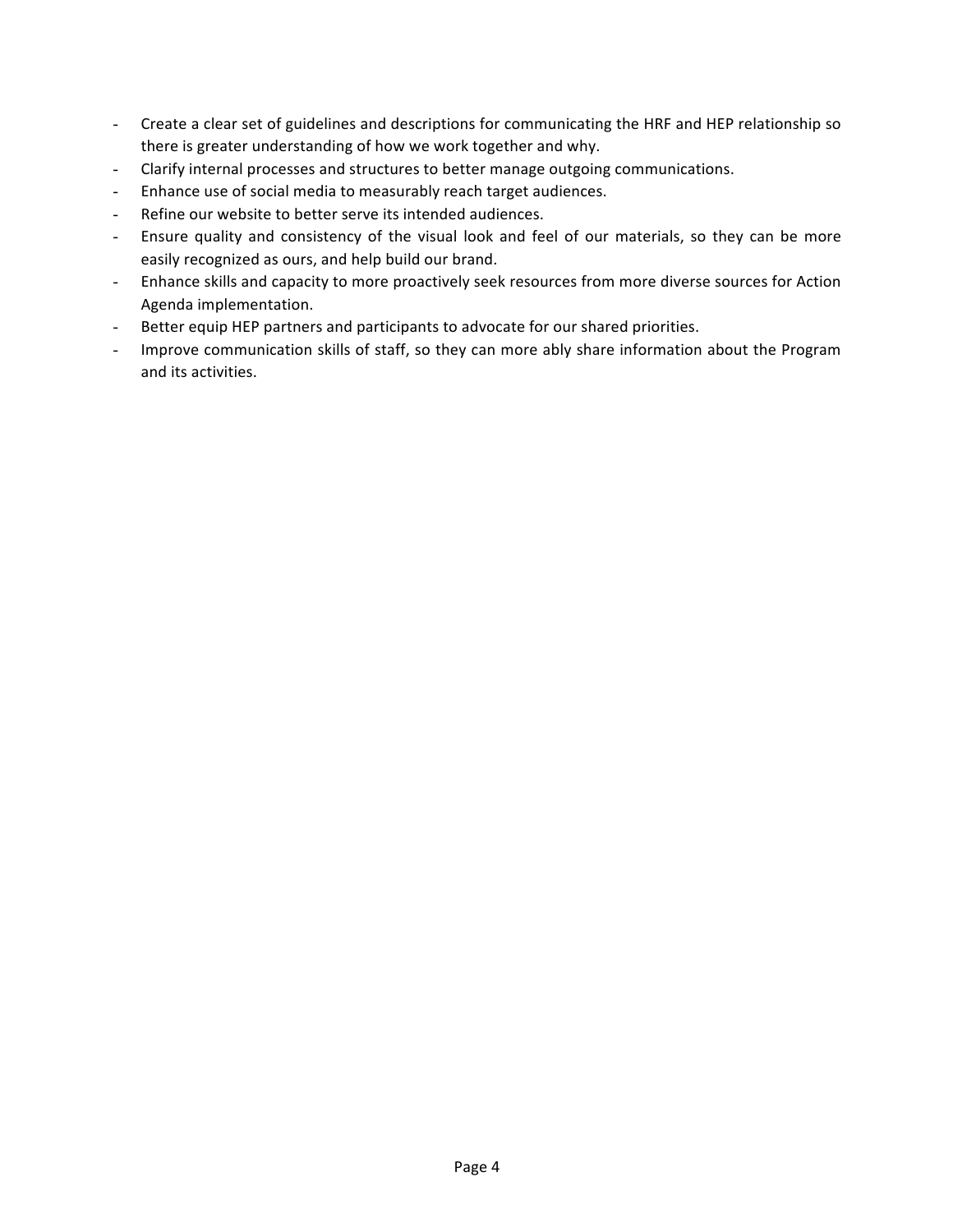- Create a clear set of guidelines and descriptions for communicating the HRF and HEP relationship so there is greater understanding of how we work together and why.
- Clarify internal processes and structures to better manage outgoing communications.
- Enhance use of social media to measurably reach target audiences.
- Refine our website to better serve its intended audiences.
- Ensure quality and consistency of the visual look and feel of our materials, so they can be more easily recognized as ours, and help build our brand.
- Enhance skills and capacity to more proactively seek resources from more diverse sources for Action Agenda implementation.
- Better equip HEP partners and participants to advocate for our shared priorities.
- Improve communication skills of staff, so they can more ably share information about the Program and its activities.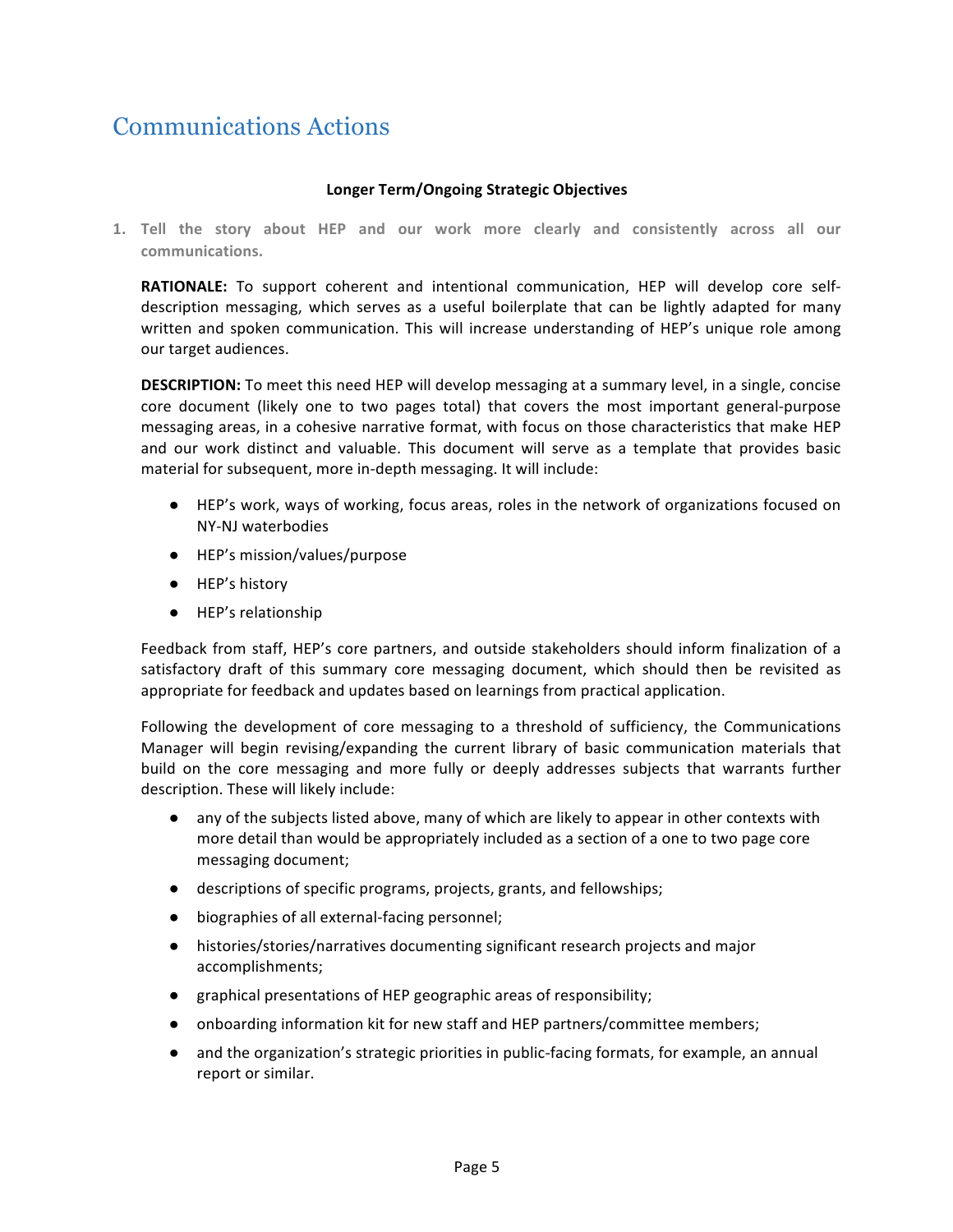### Communications Actions

#### **Longer Term/Ongoing Strategic Objectives**

1. Tell the story about HEP and our work more clearly and consistently across all our **communications.** 

**RATIONALE:** To support coherent and intentional communication, HEP will develop core selfdescription messaging, which serves as a useful boilerplate that can be lightly adapted for many written and spoken communication. This will increase understanding of HEP's unique role among our target audiences.

**DESCRIPTION:** To meet this need HEP will develop messaging at a summary level, in a single, concise core document (likely one to two pages total) that covers the most important general-purpose messaging areas, in a cohesive narrative format, with focus on those characteristics that make HEP and our work distinct and valuable. This document will serve as a template that provides basic material for subsequent, more in-depth messaging. It will include:

- HEP's work, ways of working, focus areas, roles in the network of organizations focused on NY-NJ waterbodies
- HEP's mission/values/purpose
- HEP's history
- HEP's relationship

Feedback from staff, HEP's core partners, and outside stakeholders should inform finalization of a satisfactory draft of this summary core messaging document, which should then be revisited as appropriate for feedback and updates based on learnings from practical application.

Following the development of core messaging to a threshold of sufficiency, the Communications Manager will begin revising/expanding the current library of basic communication materials that build on the core messaging and more fully or deeply addresses subjects that warrants further description. These will likely include:

- any of the subjects listed above, many of which are likely to appear in other contexts with more detail than would be appropriately included as a section of a one to two page core messaging document;
- descriptions of specific programs, projects, grants, and fellowships;
- biographies of all external-facing personnel;
- $\bullet$  histories/stories/narratives documenting significant research projects and major accomplishments;
- graphical presentations of HEP geographic areas of responsibility;
- onboarding information kit for new staff and HEP partners/committee members;
- and the organization's strategic priorities in public-facing formats, for example, an annual report or similar.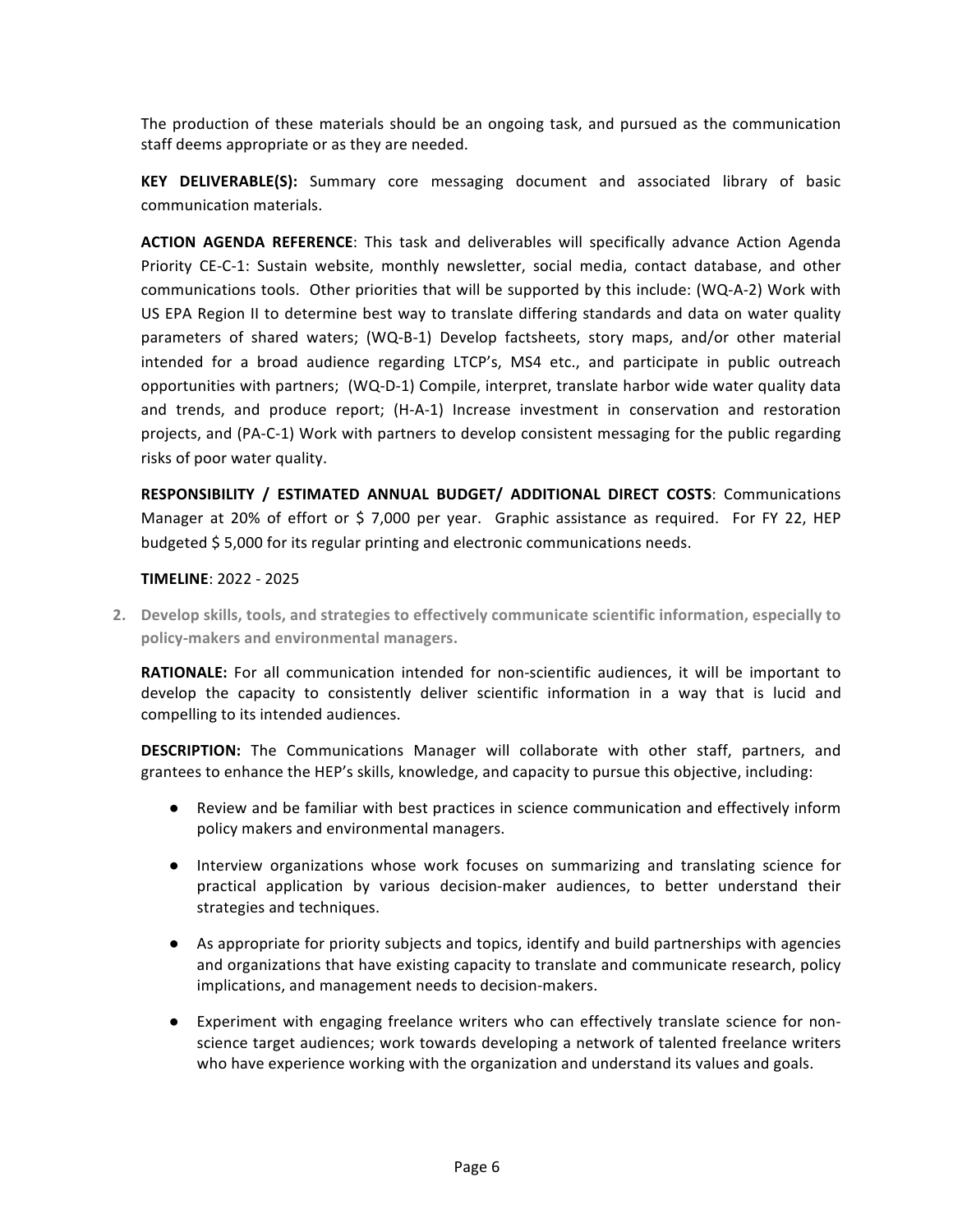The production of these materials should be an ongoing task, and pursued as the communication staff deems appropriate or as they are needed.

**KEY DELIVERABLE(S):** Summary core messaging document and associated library of basic communication materials.

**ACTION AGENDA REFERENCE:** This task and deliverables will specifically advance Action Agenda Priority CE-C-1: Sustain website, monthly newsletter, social media, contact database, and other communications tools. Other priorities that will be supported by this include: (WQ-A-2) Work with US EPA Region II to determine best way to translate differing standards and data on water quality parameters of shared waters; (WQ-B-1) Develop factsheets, story maps, and/or other material intended for a broad audience regarding LTCP's, MS4 etc., and participate in public outreach opportunities with partners; (WQ-D-1) Compile, interpret, translate harbor wide water quality data and trends, and produce report; (H-A-1) Increase investment in conservation and restoration projects, and (PA-C-1) Work with partners to develop consistent messaging for the public regarding risks of poor water quality.

**RESPONSIBILITY / ESTIMATED ANNUAL BUDGET/ ADDITIONAL DIRECT COSTS**: Communications Manager at 20% of effort or \$ 7,000 per year. Graphic assistance as required. For FY 22, HEP budgeted \$5,000 for its regular printing and electronic communications needs.

#### **TIMELINE**: 2022 - 2025

2. Develop skills, tools, and strategies to effectively communicate scientific information, especially to policy-makers and environmental managers.

**RATIONALE:** For all communication intended for non-scientific audiences, it will be important to develop the capacity to consistently deliver scientific information in a way that is lucid and compelling to its intended audiences.

**DESCRIPTION:** The Communications Manager will collaborate with other staff, partners, and grantees to enhance the HEP's skills, knowledge, and capacity to pursue this objective, including:

- Review and be familiar with best practices in science communication and effectively inform policy makers and environmental managers.
- Interview organizations whose work focuses on summarizing and translating science for practical application by various decision-maker audiences, to better understand their strategies and techniques.
- As appropriate for priority subjects and topics, identify and build partnerships with agencies and organizations that have existing capacity to translate and communicate research, policy implications, and management needs to decision-makers.
- Experiment with engaging freelance writers who can effectively translate science for nonscience target audiences; work towards developing a network of talented freelance writers who have experience working with the organization and understand its values and goals.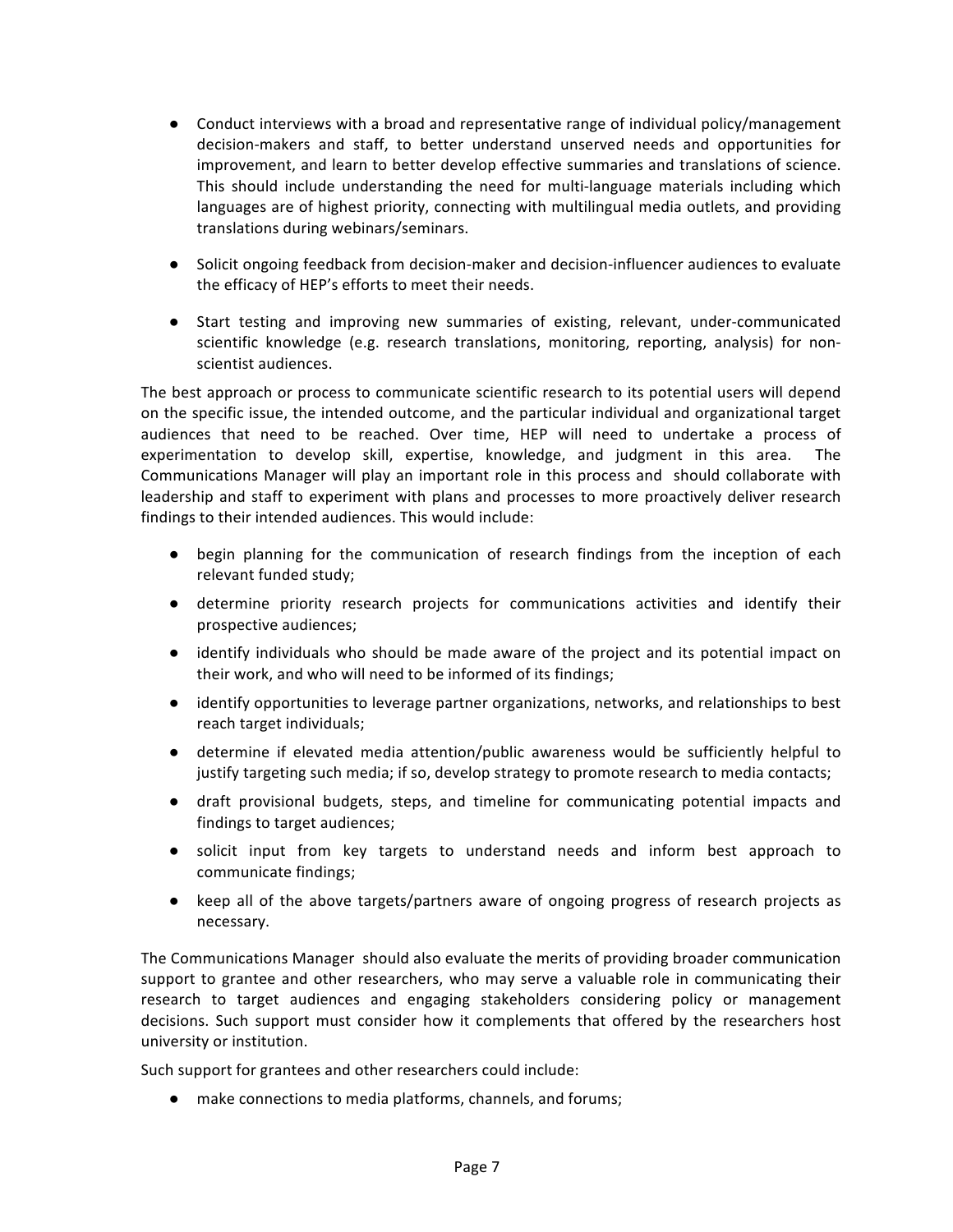- Conduct interviews with a broad and representative range of individual policy/management decision-makers and staff, to better understand unserved needs and opportunities for improvement, and learn to better develop effective summaries and translations of science. This should include understanding the need for multi-language materials including which languages are of highest priority, connecting with multilingual media outlets, and providing translations during webinars/seminars.
- Solicit ongoing feedback from decision-maker and decision-influencer audiences to evaluate the efficacy of HEP's efforts to meet their needs.
- Start testing and improving new summaries of existing, relevant, under-communicated scientific knowledge (e.g. research translations, monitoring, reporting, analysis) for nonscientist audiences.

The best approach or process to communicate scientific research to its potential users will depend on the specific issue, the intended outcome, and the particular individual and organizational target audiences that need to be reached. Over time, HEP will need to undertake a process of experimentation to develop skill, expertise, knowledge, and judgment in this area. The Communications Manager will play an important role in this process and should collaborate with leadership and staff to experiment with plans and processes to more proactively deliver research findings to their intended audiences. This would include:

- begin planning for the communication of research findings from the inception of each relevant funded study;
- determine priority research projects for communications activities and identify their prospective audiences;
- identify individuals who should be made aware of the project and its potential impact on their work, and who will need to be informed of its findings;
- identify opportunities to leverage partner organizations, networks, and relationships to best reach target individuals;
- determine if elevated media attention/public awareness would be sufficiently helpful to justify targeting such media; if so, develop strategy to promote research to media contacts;
- draft provisional budgets, steps, and timeline for communicating potential impacts and findings to target audiences;
- solicit input from key targets to understand needs and inform best approach to communicate findings;
- keep all of the above targets/partners aware of ongoing progress of research projects as necessary.

The Communications Manager should also evaluate the merits of providing broader communication support to grantee and other researchers, who may serve a valuable role in communicating their research to target audiences and engaging stakeholders considering policy or management decisions. Such support must consider how it complements that offered by the researchers host university or institution.

Such support for grantees and other researchers could include:

• make connections to media platforms, channels, and forums;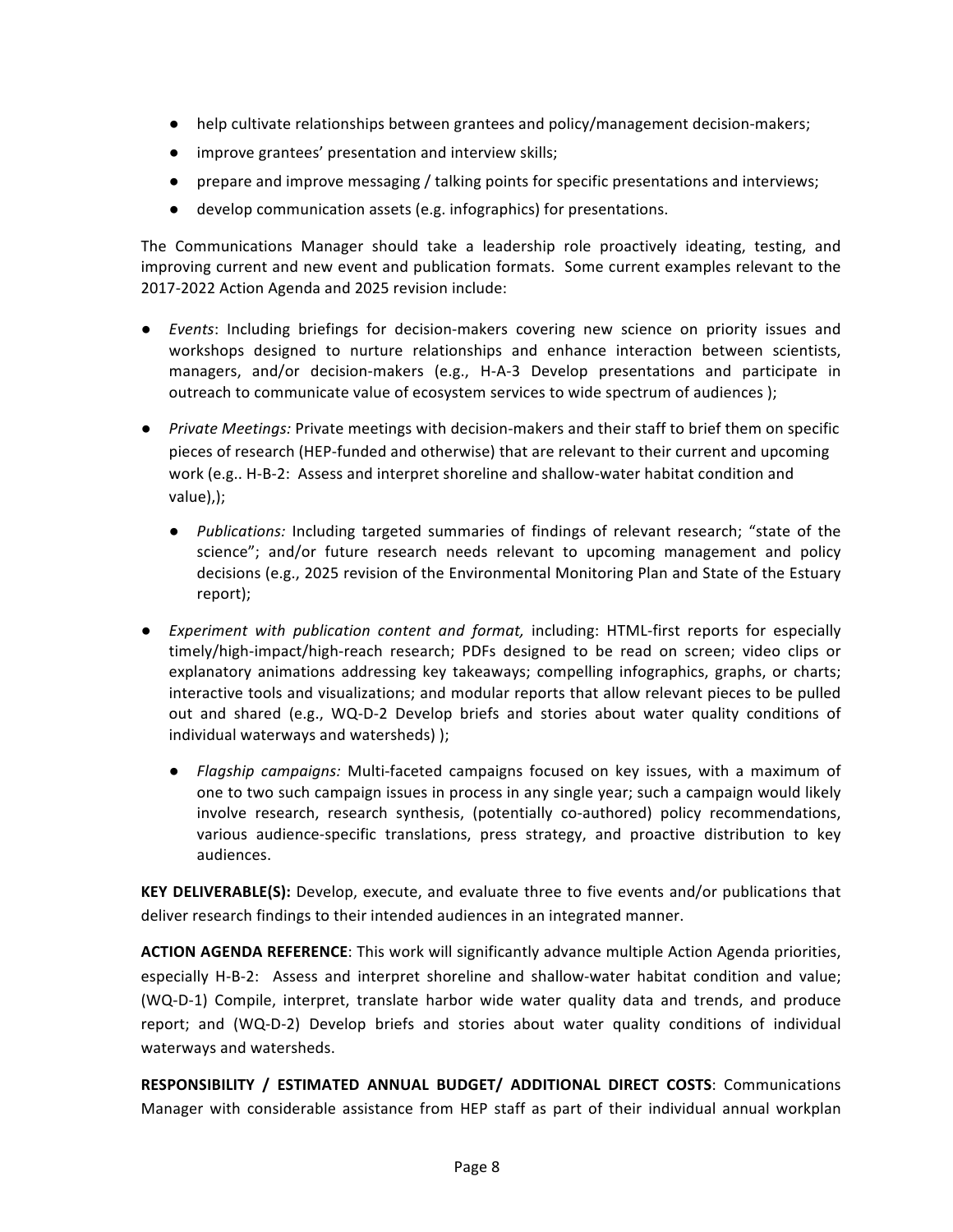- help cultivate relationships between grantees and policy/management decision-makers;
- improve grantees' presentation and interview skills;
- prepare and improve messaging / talking points for specific presentations and interviews;
- $\bullet$  develop communication assets (e.g. infographics) for presentations.

The Communications Manager should take a leadership role proactively ideating, testing, and improving current and new event and publication formats. Some current examples relevant to the 2017-2022 Action Agenda and 2025 revision include:

- *Events*: Including briefings for decision-makers covering new science on priority issues and workshops designed to nurture relationships and enhance interaction between scientists, managers, and/or decision-makers (e.g., H-A-3 Develop presentations and participate in outreach to communicate value of ecosystem services to wide spectrum of audiences );
- *Private Meetings:* Private meetings with decision-makers and their staff to brief them on specific pieces of research (HEP-funded and otherwise) that are relevant to their current and upcoming work (e.g.. H-B-2: Assess and interpret shoreline and shallow-water habitat condition and value),);
	- Publications: Including targeted summaries of findings of relevant research; "state of the science"; and/or future research needs relevant to upcoming management and policy decisions (e.g., 2025 revision of the Environmental Monitoring Plan and State of the Estuary report);
- *Experiment with publication content and format,* including: HTML-first reports for especially timely/high-impact/high-reach research; PDFs designed to be read on screen; video clips or explanatory animations addressing key takeaways; compelling infographics, graphs, or charts; interactive tools and visualizations; and modular reports that allow relevant pieces to be pulled out and shared (e.g., WQ-D-2 Develop briefs and stories about water quality conditions of individual waterways and watersheds) );
	- *Flagship campaigns:* Multi-faceted campaigns focused on key issues, with a maximum of one to two such campaign issues in process in any single year; such a campaign would likely involve research, research synthesis, (potentially co-authored) policy recommendations, various audience-specific translations, press strategy, and proactive distribution to key audiences.

**KEY DELIVERABLE(S):** Develop, execute, and evaluate three to five events and/or publications that deliver research findings to their intended audiences in an integrated manner.

**ACTION AGENDA REFERENCE:** This work will significantly advance multiple Action Agenda priorities, especially H-B-2: Assess and interpret shoreline and shallow-water habitat condition and value; (WQ-D-1) Compile, interpret, translate harbor wide water quality data and trends, and produce report; and (WQ-D-2) Develop briefs and stories about water quality conditions of individual waterways and watersheds.

**RESPONSIBILITY / ESTIMATED ANNUAL BUDGET/ ADDITIONAL DIRECT COSTS: Communications** Manager with considerable assistance from HEP staff as part of their individual annual workplan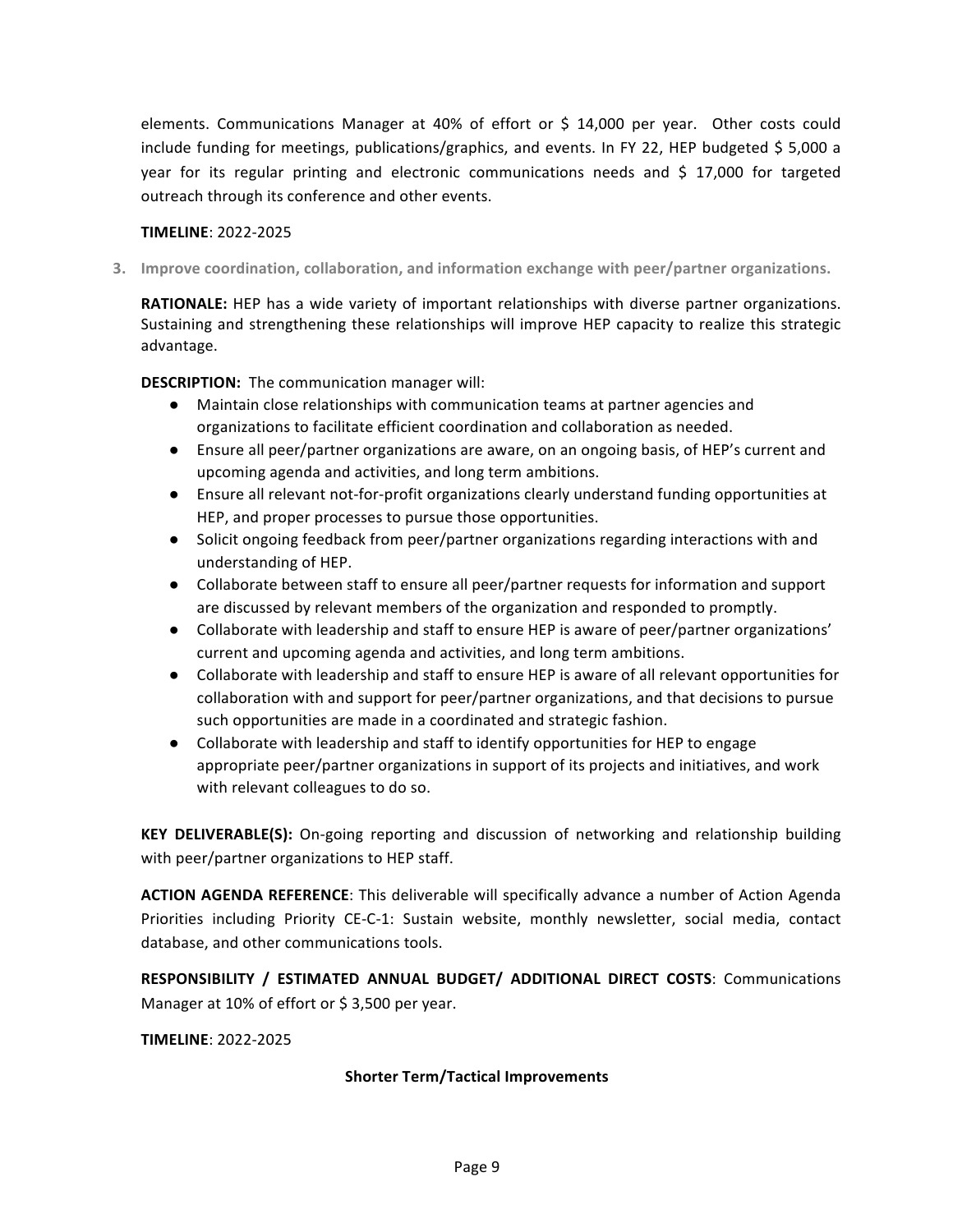elements. Communications Manager at 40% of effort or \$ 14,000 per year. Other costs could include funding for meetings, publications/graphics, and events. In FY 22, HEP budgeted \$ 5,000 a year for its regular printing and electronic communications needs and  $\frac{1}{2}$  17,000 for targeted outreach through its conference and other events.

#### **TIMELINE**: 2022-2025

**3.** Improve coordination, collaboration, and information exchange with peer/partner organizations.

**RATIONALE:** HEP has a wide variety of important relationships with diverse partner organizations. Sustaining and strengthening these relationships will improve HEP capacity to realize this strategic advantage.

**DESCRIPTION:** The communication manager will:

- Maintain close relationships with communication teams at partner agencies and organizations to facilitate efficient coordination and collaboration as needed.
- Ensure all peer/partner organizations are aware, on an ongoing basis, of HEP's current and upcoming agenda and activities, and long term ambitions.
- Ensure all relevant not-for-profit organizations clearly understand funding opportunities at HEP, and proper processes to pursue those opportunities.
- Solicit ongoing feedback from peer/partner organizations regarding interactions with and understanding of HEP.
- Collaborate between staff to ensure all peer/partner requests for information and support are discussed by relevant members of the organization and responded to promptly.
- Collaborate with leadership and staff to ensure HEP is aware of peer/partner organizations' current and upcoming agenda and activities, and long term ambitions.
- Collaborate with leadership and staff to ensure HEP is aware of all relevant opportunities for collaboration with and support for peer/partner organizations, and that decisions to pursue such opportunities are made in a coordinated and strategic fashion.
- Collaborate with leadership and staff to identify opportunities for HEP to engage appropriate peer/partner organizations in support of its projects and initiatives, and work with relevant colleagues to do so.

**KEY DELIVERABLE(S):** On-going reporting and discussion of networking and relationship building with peer/partner organizations to HEP staff.

**ACTION AGENDA REFERENCE:** This deliverable will specifically advance a number of Action Agenda Priorities including Priority CE-C-1: Sustain website, monthly newsletter, social media, contact database, and other communications tools.

**RESPONSIBILITY / ESTIMATED ANNUAL BUDGET/ ADDITIONAL DIRECT COSTS: Communications** Manager at 10% of effort or \$3,500 per year.

**TIMELINE**: 2022-2025

#### **Shorter Term/Tactical Improvements**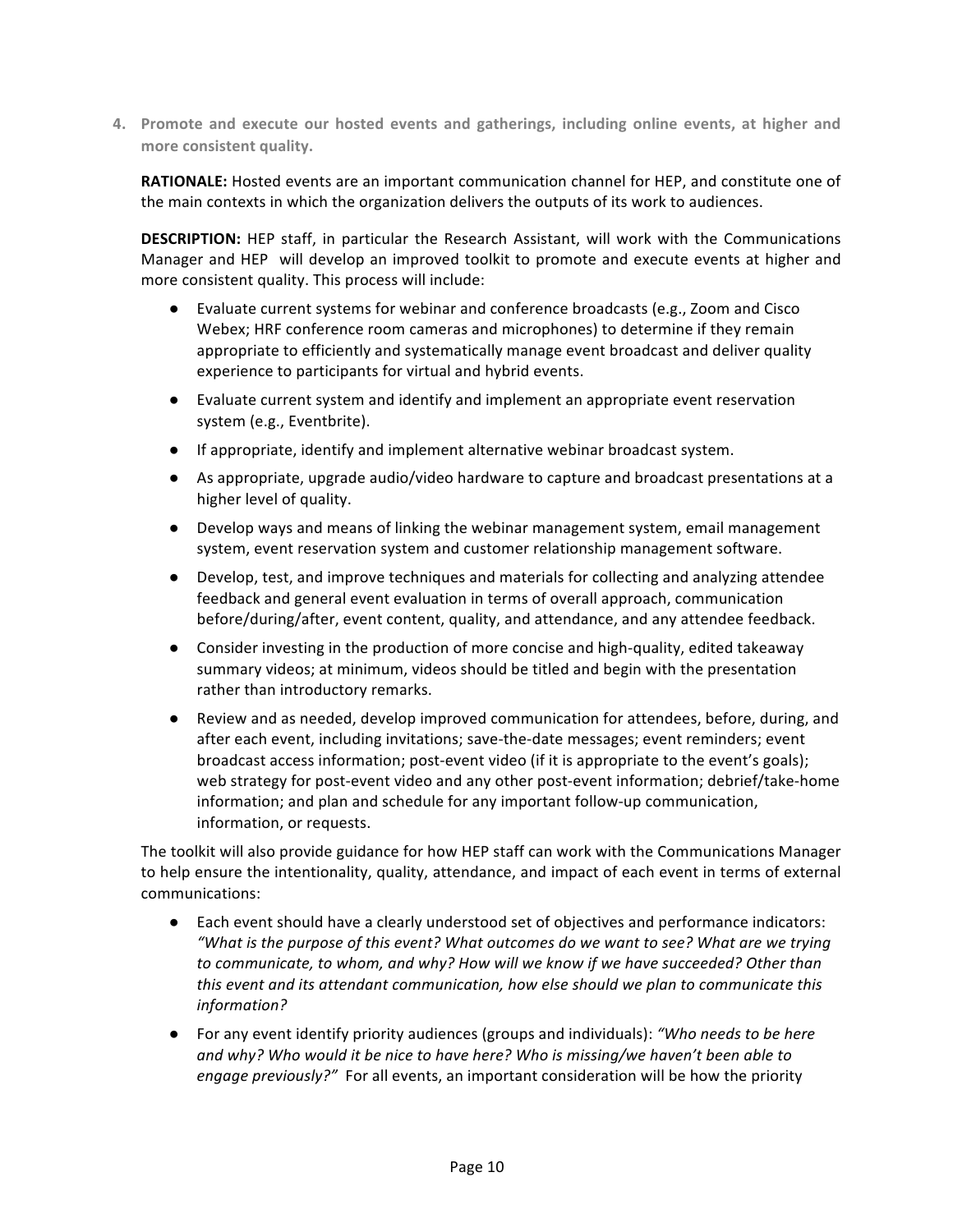4. Promote and execute our hosted events and gatherings, including online events, at higher and more consistent quality.

**RATIONALE:** Hosted events are an important communication channel for HEP, and constitute one of the main contexts in which the organization delivers the outputs of its work to audiences.

**DESCRIPTION:** HEP staff, in particular the Research Assistant, will work with the Communications Manager and HEP will develop an improved toolkit to promote and execute events at higher and more consistent quality. This process will include:

- Evaluate current systems for webinar and conference broadcasts (e.g., Zoom and Cisco Webex; HRF conference room cameras and microphones) to determine if they remain appropriate to efficiently and systematically manage event broadcast and deliver quality experience to participants for virtual and hybrid events.
- Evaluate current system and identify and implement an appropriate event reservation system (e.g., Eventbrite).
- If appropriate, identify and implement alternative webinar broadcast system.
- As appropriate, upgrade audio/video hardware to capture and broadcast presentations at a higher level of quality.
- Develop ways and means of linking the webinar management system, email management system, event reservation system and customer relationship management software.
- Develop, test, and improve techniques and materials for collecting and analyzing attendee feedback and general event evaluation in terms of overall approach, communication before/during/after, event content, quality, and attendance, and any attendee feedback.
- Consider investing in the production of more concise and high-quality, edited takeaway summary videos; at minimum, videos should be titled and begin with the presentation rather than introductory remarks.
- Review and as needed, develop improved communication for attendees, before, during, and after each event, including invitations; save-the-date messages; event reminders; event broadcast access information; post-event video (if it is appropriate to the event's goals); web strategy for post-event video and any other post-event information; debrief/take-home information; and plan and schedule for any important follow-up communication, information, or requests.

The toolkit will also provide guidance for how HEP staff can work with the Communications Manager to help ensure the intentionality, quality, attendance, and impact of each event in terms of external communications:

- Each event should have a clearly understood set of objectives and performance indicators: "What is the purpose of this event? What outcomes do we want to see? What are we trying *to communicate, to whom, and why? How will we know if we have succeeded? Other than this* event and its attendant communication, how else should we plan to communicate this *information?*
- For any event identify priority audiences (groups and individuals): *"Who needs to be here and* why? Who would it be nice to have here? Who is missing/we haven't been able to *engage previously?"* For all events, an important consideration will be how the priority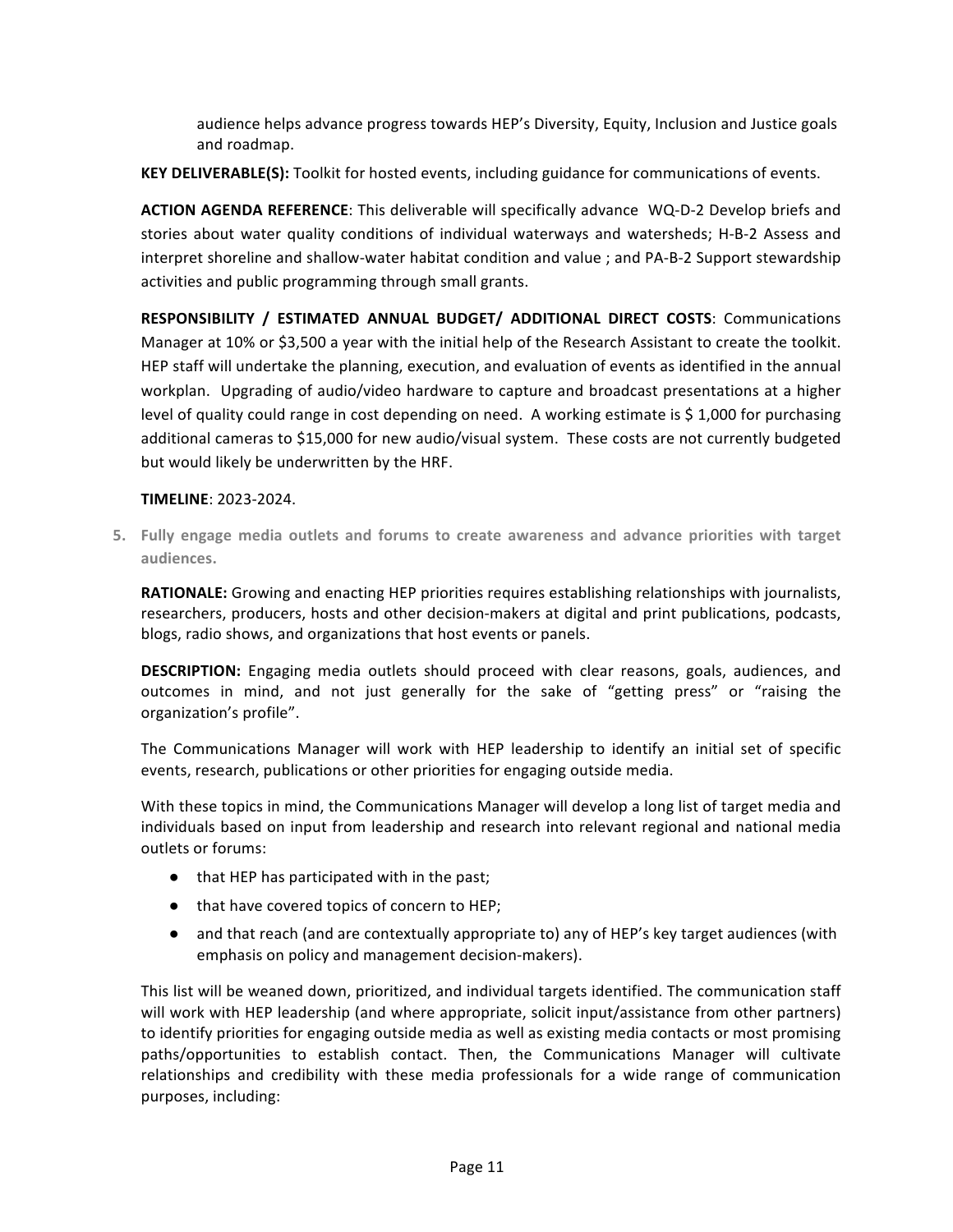audience helps advance progress towards HEP's Diversity, Equity, Inclusion and Justice goals and roadmap.

**KEY DELIVERABLE(S):** Toolkit for hosted events, including guidance for communications of events.

**ACTION AGENDA REFERENCE:** This deliverable will specifically advance WQ-D-2 Develop briefs and stories about water quality conditions of individual waterways and watersheds; H-B-2 Assess and interpret shoreline and shallow-water habitat condition and value ; and PA-B-2 Support stewardship activities and public programming through small grants.

**RESPONSIBILITY / ESTIMATED ANNUAL BUDGET/ ADDITIONAL DIRECT COSTS: Communications** Manager at 10% or \$3,500 a year with the initial help of the Research Assistant to create the toolkit. HEP staff will undertake the planning, execution, and evaluation of events as identified in the annual workplan. Upgrading of audio/video hardware to capture and broadcast presentations at a higher level of quality could range in cost depending on need. A working estimate is \$1,000 for purchasing additional cameras to \$15,000 for new audio/visual system. These costs are not currently budgeted but would likely be underwritten by the HRF.

#### **TIMELINE**: 2023-2024.

**5.** Fully engage media outlets and forums to create awareness and advance priorities with target **audiences.** 

**RATIONALE:** Growing and enacting HEP priorities requires establishing relationships with journalists, researchers, producers, hosts and other decision-makers at digital and print publications, podcasts, blogs, radio shows, and organizations that host events or panels.

**DESCRIPTION:** Engaging media outlets should proceed with clear reasons, goals, audiences, and outcomes in mind, and not just generally for the sake of "getting press" or "raising the organization's profile".

The Communications Manager will work with HEP leadership to identify an initial set of specific events, research, publications or other priorities for engaging outside media.

With these topics in mind, the Communications Manager will develop a long list of target media and individuals based on input from leadership and research into relevant regional and national media outlets or forums:

- that HEP has participated with in the past;
- that have covered topics of concern to HEP;
- and that reach (and are contextually appropriate to) any of HEP's key target audiences (with emphasis on policy and management decision-makers).

This list will be weaned down, prioritized, and individual targets identified. The communication staff will work with HEP leadership (and where appropriate, solicit input/assistance from other partners) to identify priorities for engaging outside media as well as existing media contacts or most promising paths/opportunities to establish contact. Then, the Communications Manager will cultivate relationships and credibility with these media professionals for a wide range of communication purposes, including: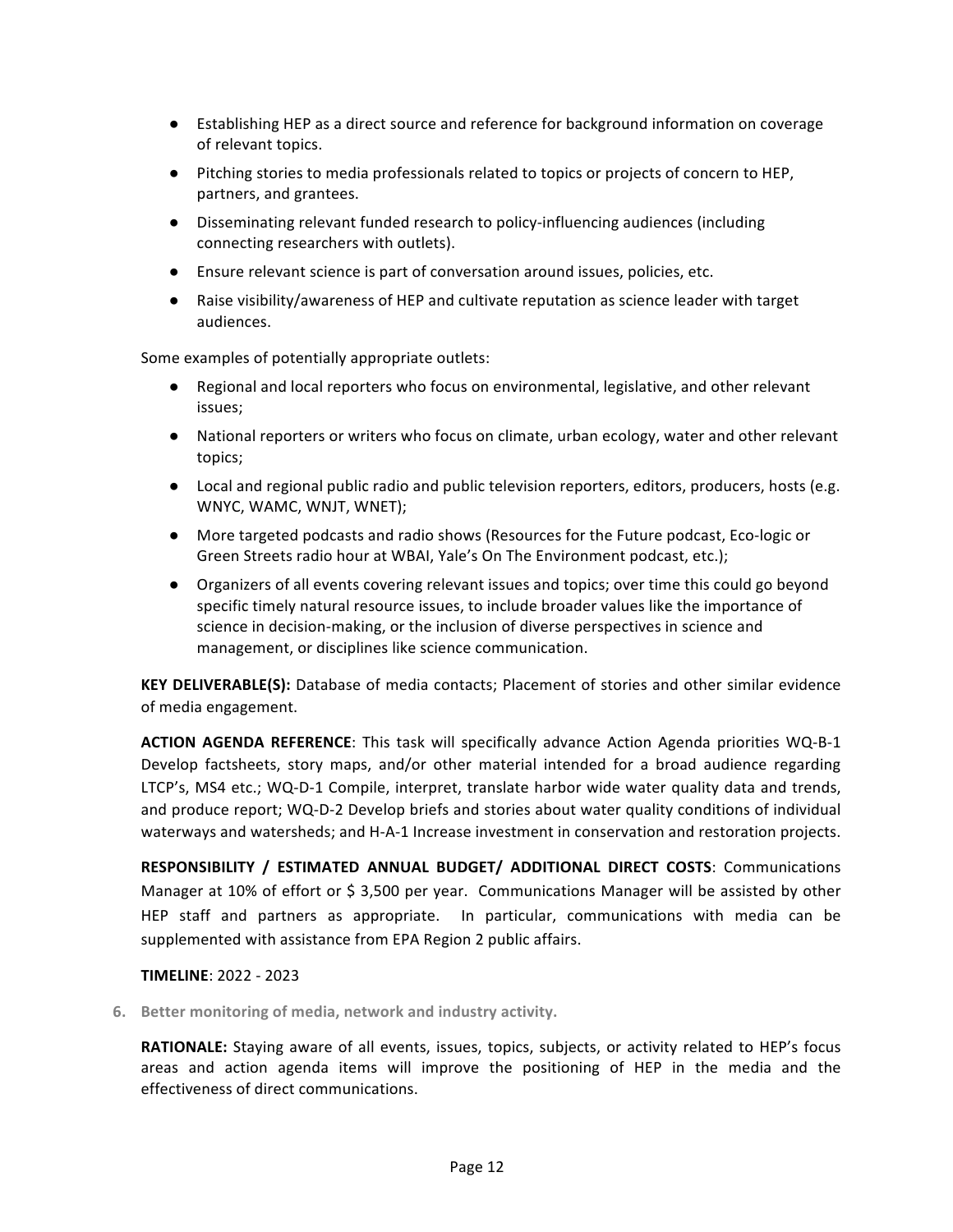- Establishing HEP as a direct source and reference for background information on coverage of relevant topics.
- Pitching stories to media professionals related to topics or projects of concern to HEP, partners, and grantees.
- Disseminating relevant funded research to policy-influencing audiences (including connecting researchers with outlets).
- Ensure relevant science is part of conversation around issues, policies, etc.
- Raise visibility/awareness of HEP and cultivate reputation as science leader with target audiences.

Some examples of potentially appropriate outlets:

- Regional and local reporters who focus on environmental, legislative, and other relevant issues;
- National reporters or writers who focus on climate, urban ecology, water and other relevant topics;
- Local and regional public radio and public television reporters, editors, producers, hosts (e.g. WNYC, WAMC, WNJT, WNET);
- More targeted podcasts and radio shows (Resources for the Future podcast, Eco-logic or Green Streets radio hour at WBAI, Yale's On The Environment podcast, etc.);
- Organizers of all events covering relevant issues and topics; over time this could go beyond specific timely natural resource issues, to include broader values like the importance of science in decision-making, or the inclusion of diverse perspectives in science and management, or disciplines like science communication.

**KEY DELIVERABLE(S):** Database of media contacts; Placement of stories and other similar evidence of media engagement.

**ACTION AGENDA REFERENCE:** This task will specifically advance Action Agenda priorities WQ-B-1 Develop factsheets, story maps, and/or other material intended for a broad audience regarding LTCP's, MS4 etc.; WQ-D-1 Compile, interpret, translate harbor wide water quality data and trends, and produce report; WQ-D-2 Develop briefs and stories about water quality conditions of individual waterways and watersheds; and H-A-1 Increase investment in conservation and restoration projects.

**RESPONSIBILITY / ESTIMATED ANNUAL BUDGET/ ADDITIONAL DIRECT COSTS: Communications** Manager at 10% of effort or \$ 3,500 per year. Communications Manager will be assisted by other HEP staff and partners as appropriate. In particular, communications with media can be supplemented with assistance from EPA Region 2 public affairs.

#### **TIMELINE**: 2022 - 2023

**6.** Better monitoring of media, network and industry activity.

**RATIONALE:** Staying aware of all events, issues, topics, subjects, or activity related to HEP's focus areas and action agenda items will improve the positioning of HEP in the media and the effectiveness of direct communications.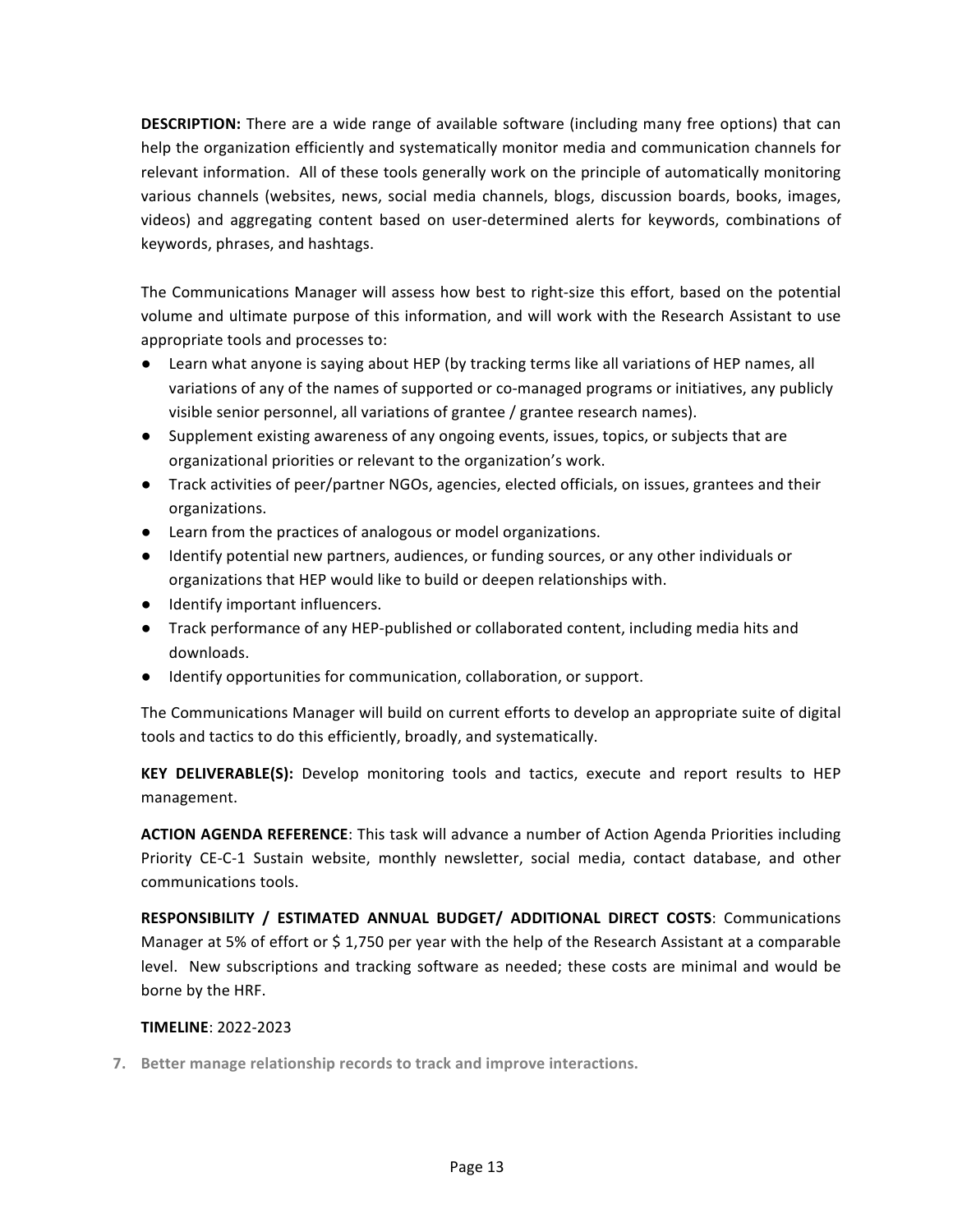**DESCRIPTION:** There are a wide range of available software (including many free options) that can help the organization efficiently and systematically monitor media and communication channels for relevant information. All of these tools generally work on the principle of automatically monitoring various channels (websites, news, social media channels, blogs, discussion boards, books, images, videos) and aggregating content based on user-determined alerts for keywords, combinations of keywords, phrases, and hashtags.

The Communications Manager will assess how best to right-size this effort, based on the potential volume and ultimate purpose of this information, and will work with the Research Assistant to use appropriate tools and processes to:

- Learn what anyone is saying about HEP (by tracking terms like all variations of HEP names, all variations of any of the names of supported or co-managed programs or initiatives, any publicly visible senior personnel, all variations of grantee / grantee research names).
- Supplement existing awareness of any ongoing events, issues, topics, or subjects that are organizational priorities or relevant to the organization's work.
- Track activities of peer/partner NGOs, agencies, elected officials, on issues, grantees and their organizations.
- Learn from the practices of analogous or model organizations.
- Identify potential new partners, audiences, or funding sources, or any other individuals or organizations that HEP would like to build or deepen relationships with.
- Identify important influencers.
- Track performance of any HEP-published or collaborated content, including media hits and downloads.
- Identify opportunities for communication, collaboration, or support.

The Communications Manager will build on current efforts to develop an appropriate suite of digital tools and tactics to do this efficiently, broadly, and systematically.

**KEY DELIVERABLE(S):** Develop monitoring tools and tactics, execute and report results to HEP management.

**ACTION AGENDA REFERENCE:** This task will advance a number of Action Agenda Priorities including Priority CE-C-1 Sustain website, monthly newsletter, social media, contact database, and other communications tools.

**RESPONSIBILITY / ESTIMATED ANNUAL BUDGET/ ADDITIONAL DIRECT COSTS: Communications** Manager at 5% of effort or \$1,750 per year with the help of the Research Assistant at a comparable level. New subscriptions and tracking software as needed; these costs are minimal and would be borne by the HRF.

#### **TIMELINE**: 2022-2023

**7.** Better manage relationship records to track and improve interactions.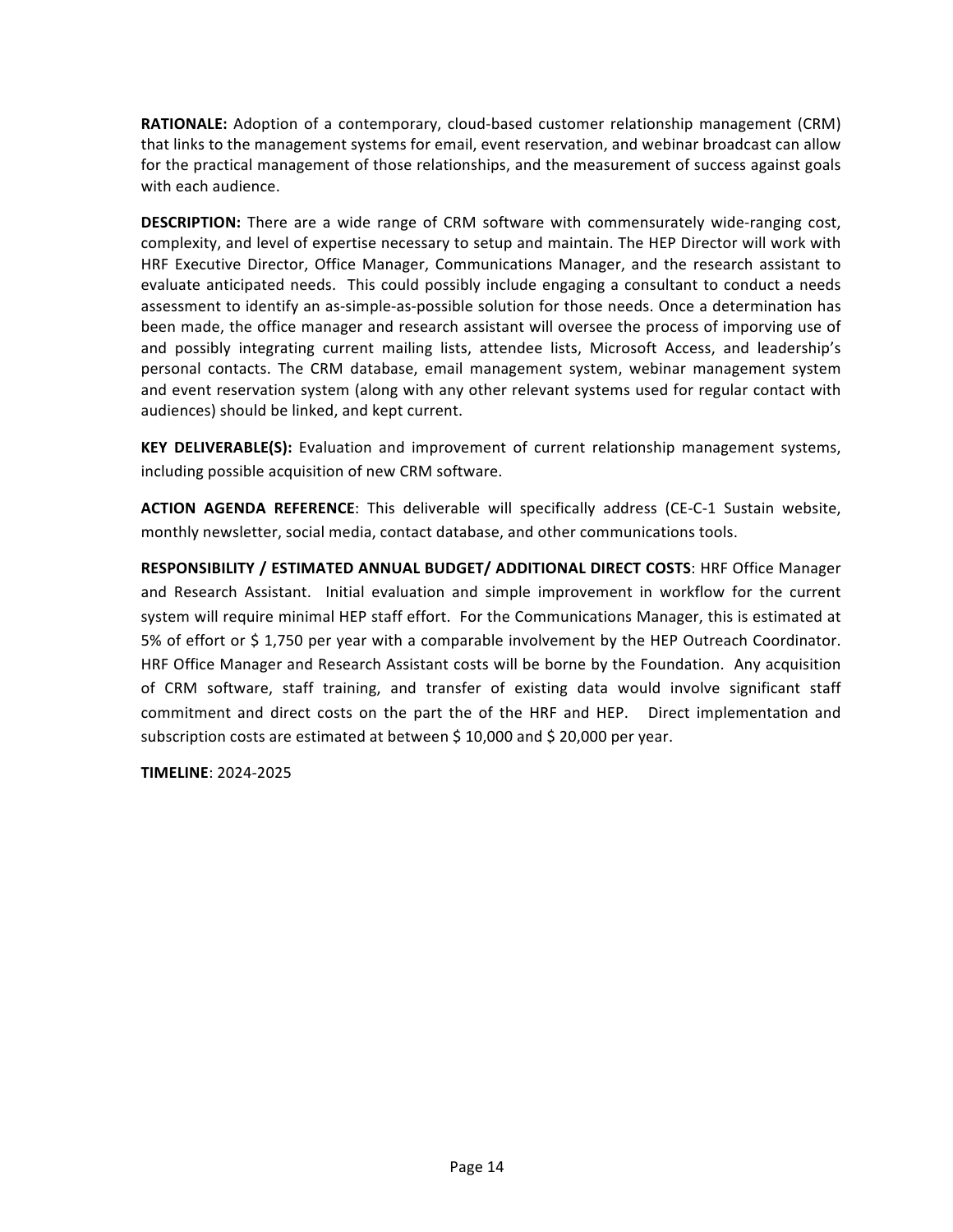**RATIONALE:** Adoption of a contemporary, cloud-based customer relationship management (CRM) that links to the management systems for email, event reservation, and webinar broadcast can allow for the practical management of those relationships, and the measurement of success against goals with each audience.

**DESCRIPTION:** There are a wide range of CRM software with commensurately wide-ranging cost, complexity, and level of expertise necessary to setup and maintain. The HEP Director will work with HRF Executive Director, Office Manager, Communications Manager, and the research assistant to evaluate anticipated needs. This could possibly include engaging a consultant to conduct a needs assessment to identify an as-simple-as-possible solution for those needs. Once a determination has been made, the office manager and research assistant will oversee the process of imporving use of and possibly integrating current mailing lists, attendee lists, Microsoft Access, and leadership's personal contacts. The CRM database, email management system, webinar management system and event reservation system (along with any other relevant systems used for regular contact with audiences) should be linked, and kept current.

**KEY DELIVERABLE(S):** Evaluation and improvement of current relationship management systems, including possible acquisition of new CRM software.

**ACTION AGENDA REFERENCE:** This deliverable will specifically address (CE-C-1 Sustain website, monthly newsletter, social media, contact database, and other communications tools.

**RESPONSIBILITY / ESTIMATED ANNUAL BUDGET/ ADDITIONAL DIRECT COSTS: HRF Office Manager** and Research Assistant. Initial evaluation and simple improvement in workflow for the current system will require minimal HEP staff effort. For the Communications Manager, this is estimated at 5% of effort or \$ 1,750 per year with a comparable involvement by the HEP Outreach Coordinator. HRF Office Manager and Research Assistant costs will be borne by the Foundation. Any acquisition of CRM software, staff training, and transfer of existing data would involve significant staff commitment and direct costs on the part the of the HRF and HEP. Direct implementation and subscription costs are estimated at between  $$10,000$  and  $$20,000$  per year.

**TIMELINE**: 2024-2025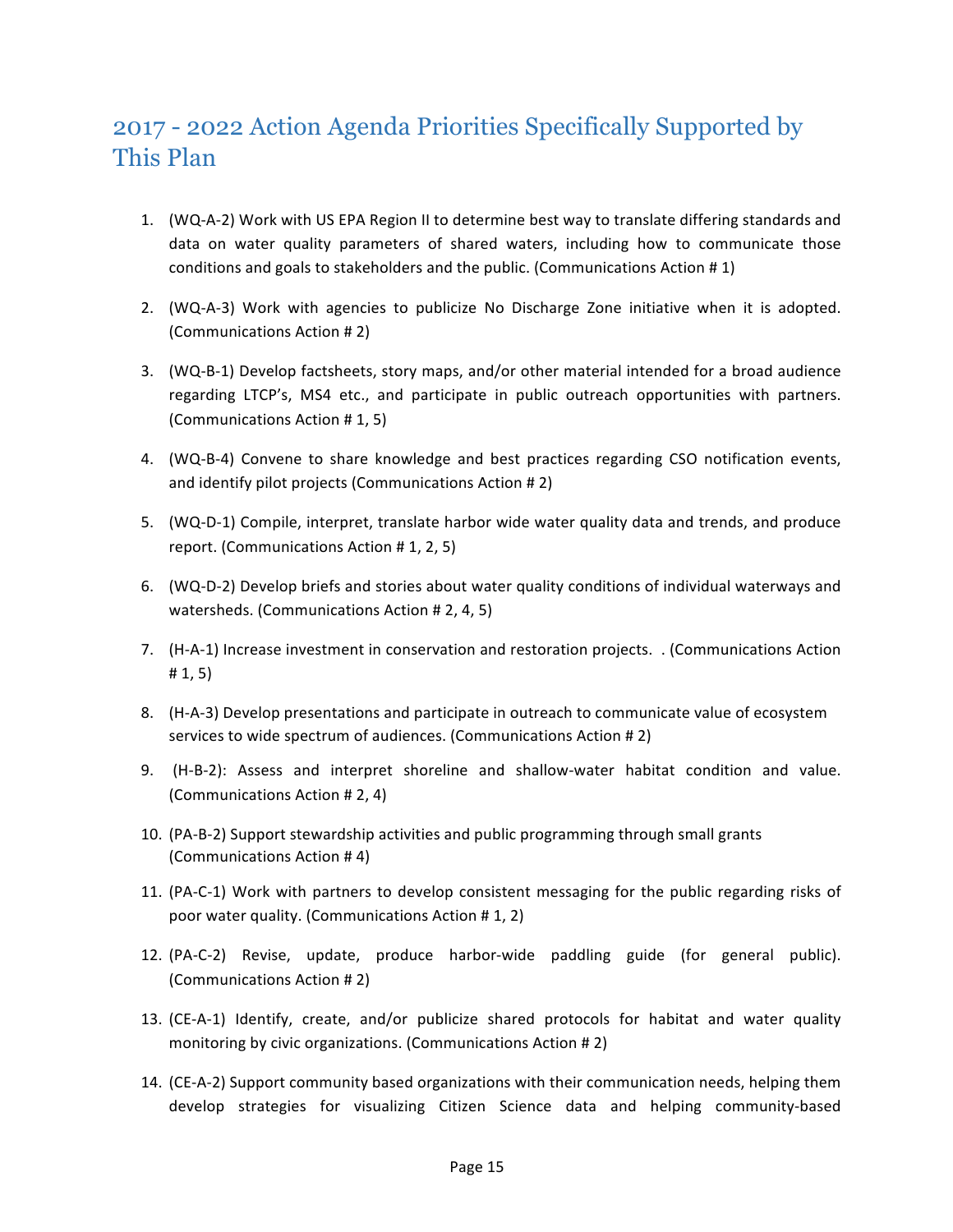### 2017 - 2022 Action Agenda Priorities Specifically Supported by This Plan

- 1. (WQ-A-2) Work with US EPA Region II to determine best way to translate differing standards and data on water quality parameters of shared waters, including how to communicate those conditions and goals to stakeholders and the public. (Communications Action  $# 1$ )
- 2. (WQ-A-3) Work with agencies to publicize No Discharge Zone initiative when it is adopted. (Communications Action # 2)
- 3. (WQ-B-1) Develop factsheets, story maps, and/or other material intended for a broad audience regarding LTCP's, MS4 etc., and participate in public outreach opportunities with partners. (Communications Action # 1, 5)
- 4. (WQ-B-4) Convene to share knowledge and best practices regarding CSO notification events, and identify pilot projects (Communications Action # 2)
- 5. (WQ-D-1) Compile, interpret, translate harbor wide water quality data and trends, and produce report. (Communications Action # 1, 2, 5)
- 6. (WQ-D-2) Develop briefs and stories about water quality conditions of individual waterways and watersheds. (Communications Action # 2, 4, 5)
- 7. (H-A-1) Increase investment in conservation and restoration projects. . (Communications Action  $# 1, 5)$
- 8. (H-A-3) Develop presentations and participate in outreach to communicate value of ecosystem services to wide spectrum of audiences. (Communications Action # 2)
- 9. (H-B-2): Assess and interpret shoreline and shallow-water habitat condition and value. (Communications Action # 2, 4)
- 10. (PA-B-2) Support stewardship activities and public programming through small grants (Communications Action #4)
- 11. (PA-C-1) Work with partners to develop consistent messaging for the public regarding risks of poor water quality. (Communications Action # 1, 2)
- 12. (PA-C-2) Revise, update, produce harbor-wide paddling guide (for general public). (Communications Action # 2)
- 13. (CE-A-1) Identify, create, and/or publicize shared protocols for habitat and water quality monitoring by civic organizations. (Communications Action # 2)
- 14. (CE-A-2) Support community based organizations with their communication needs, helping them develop strategies for visualizing Citizen Science data and helping community-based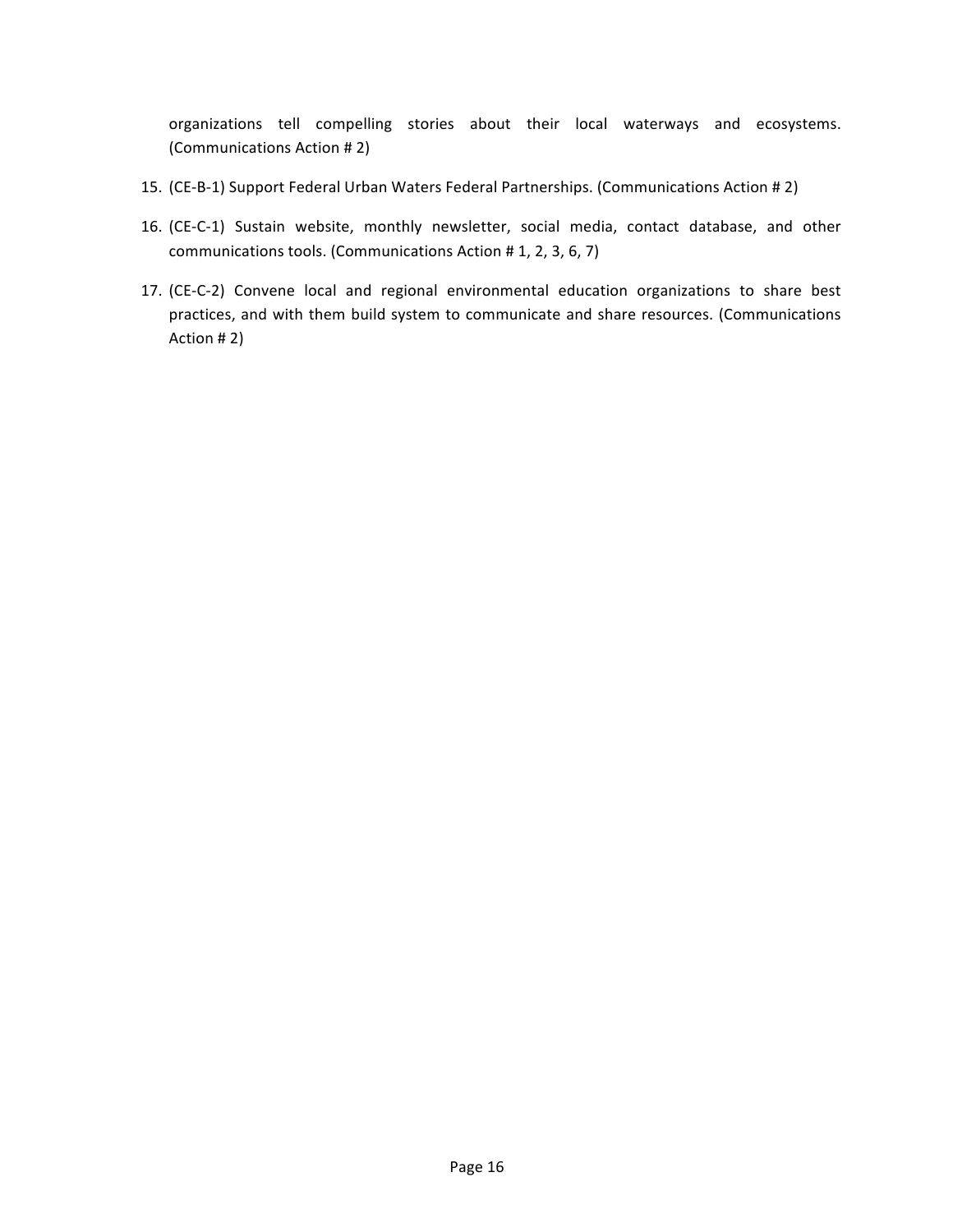organizations tell compelling stories about their local waterways and ecosystems. (Communications Action # 2)

- 15. (CE-B-1) Support Federal Urban Waters Federal Partnerships. (Communications Action # 2)
- 16. (CE-C-1) Sustain website, monthly newsletter, social media, contact database, and other communications tools. (Communications Action # 1, 2, 3, 6, 7)
- 17. (CE-C-2) Convene local and regional environmental education organizations to share best practices, and with them build system to communicate and share resources. (Communications Action # 2)